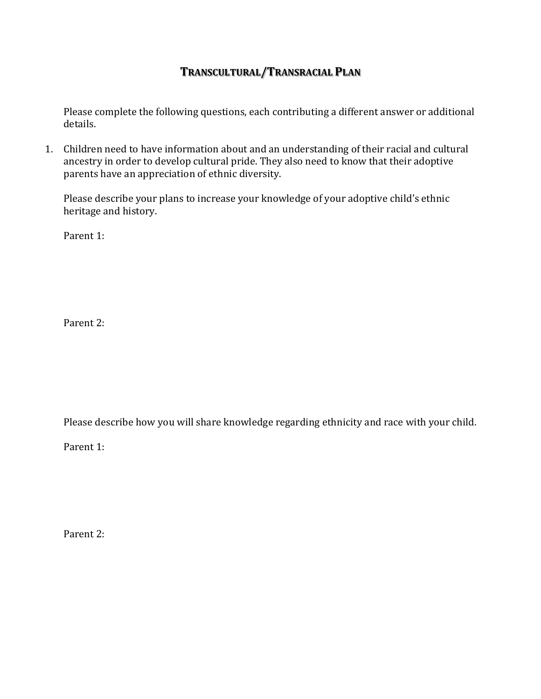## **TRANSCULTURAL/TRANSRACIAL PLAN**

Please complete the following questions, each contributing a different answer or additional details.

1. Children need to have information about and an understanding of their racial and cultural ancestry in order to develop cultural pride. They also need to know that their adoptive parents have an appreciation of ethnic diversity.

Please describe your plans to increase your knowledge of your adoptive child's ethnic heritage and history.

Parent 1:

Parent 2:

Please describe how you will share knowledge regarding ethnicity and race with your child.

Parent 1: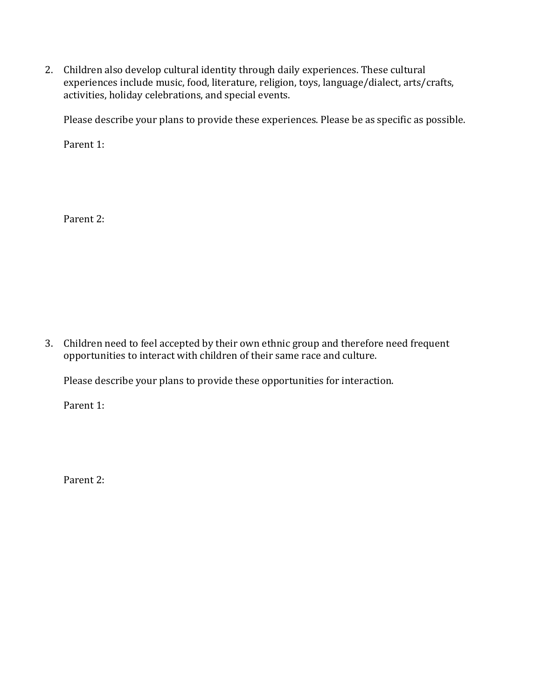2. Children also develop cultural identity through daily experiences. These cultural experiences include music, food, literature, religion, toys, language/dialect, arts/crafts, activities, holiday celebrations, and special events.

Please describe your plans to provide these experiences. Please be as specific as possible.

Parent 1:

Parent 2:

3. Children need to feel accepted by their own ethnic group and therefore need frequent opportunities to interact with children of their same race and culture.

Please describe your plans to provide these opportunities for interaction.

Parent 1: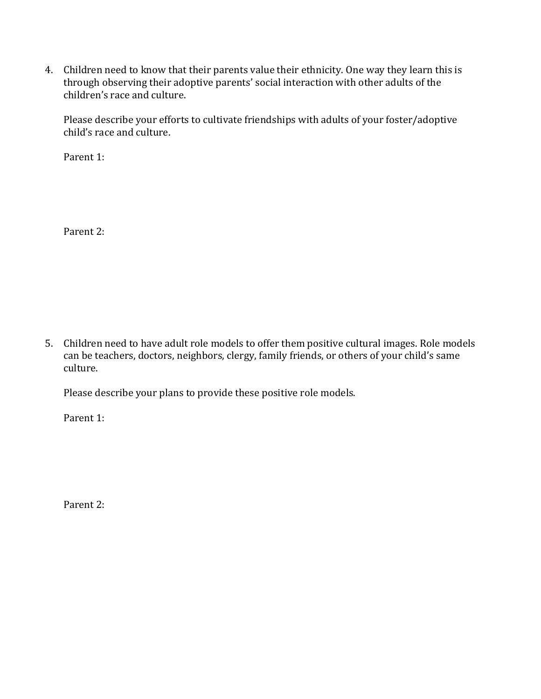4. Children need to know that their parents value their ethnicity. One way they learn this is through observing their adoptive parents' social interaction with other adults of the children's race and culture.

Please describe your efforts to cultivate friendships with adults of your foster/adoptive child's race and culture.

Parent 1:

Parent 2:

5. Children need to have adult role models to offer them positive cultural images. Role models can be teachers, doctors, neighbors, clergy, family friends, or others of your child's same culture.

Please describe your plans to provide these positive role models.

Parent 1: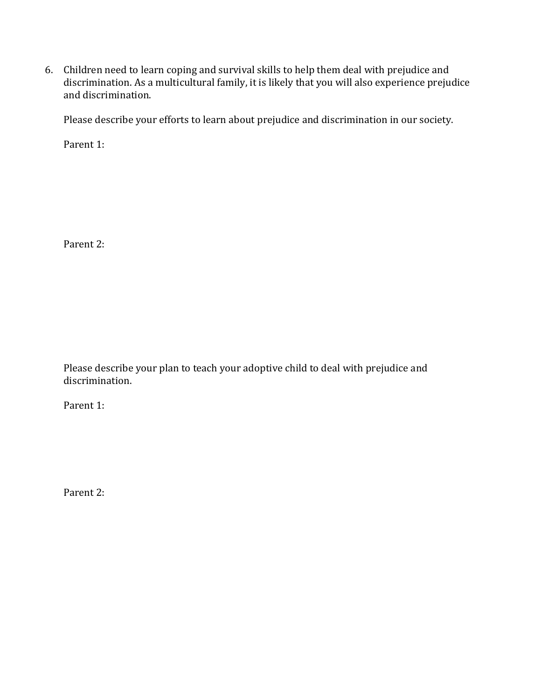6. Children need to learn coping and survival skills to help them deal with prejudice and discrimination. As a multicultural family, it is likely that you will also experience prejudice and discrimination.

Please describe your efforts to learn about prejudice and discrimination in our society.

Parent 1:

Parent 2:

Please describe your plan to teach your adoptive child to deal with prejudice and discrimination.

Parent 1: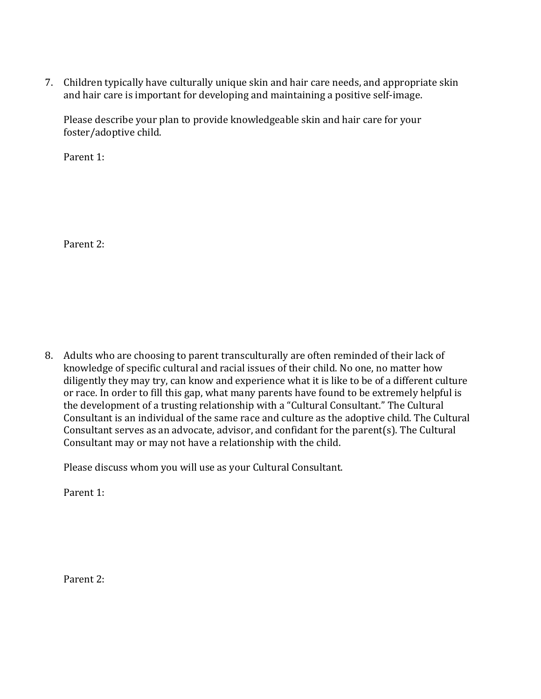7. Children typically have culturally unique skin and hair care needs, and appropriate skin and hair care is important for developing and maintaining a positive self-image.

Please describe your plan to provide knowledgeable skin and hair care for your foster/adoptive child.

Parent 1:

Parent 2:

8. Adults who are choosing to parent transculturally are often reminded of their lack of knowledge of specific cultural and racial issues of their child. No one, no matter how diligently they may try, can know and experience what it is like to be of a different culture or race. In order to fill this gap, what many parents have found to be extremely helpful is the development of a trusting relationship with a "Cultural Consultant." The Cultural Consultant is an individual of the same race and culture as the adoptive child. The Cultural Consultant serves as an advocate, advisor, and confidant for the parent(s). The Cultural Consultant may or may not have a relationship with the child.

Please discuss whom you will use as your Cultural Consultant.

Parent 1: